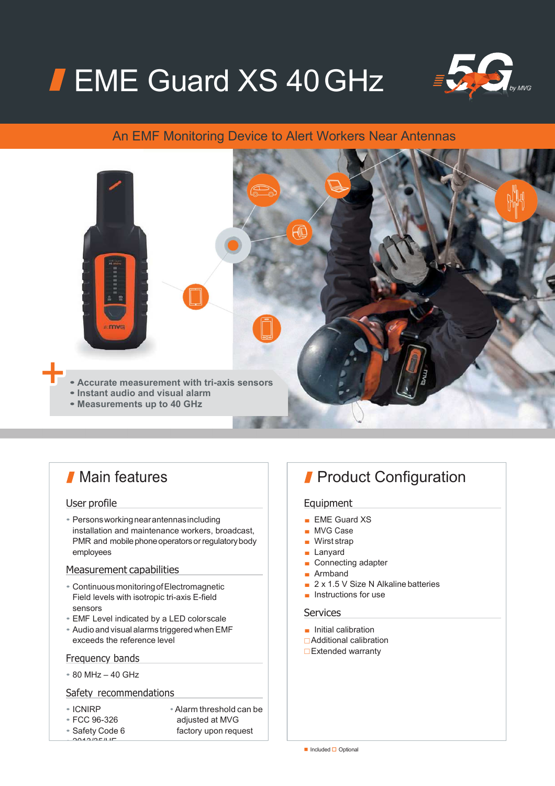# **FEME Guard XS 40 GHz**



### An EMF Monitoring Device to Alert Workers Near Antennas



## **Main features**

#### User profile

• Persons working near antennas including installation and maintenance workers, broadcast, PMR and mobile phone operators or regulatory body employees

#### Measurement capabilities

- Continuous monitoring of Electromagnetic Field levels with isotropic tri-axis E-field sensors
- EMF Level indicated by a LED color scale
- Audio and visual alarms triggered when EMF exceeds the reference level

#### Frequency bands

• 80 MHz – 40 GHz

#### Safety recommendations

- 
- 

- $0.20000000$
- ICNIRP Alarm threshold can be adjusted at MVG

#### • Safety Code 6 factory upon request

## **Product Configuration**

#### Equipment

- EME Guard XS
- MVG Case
- Wirst strap
- Lanyard
- Connecting adapter
- Armband
- 2 x 1.5 V Size N Alkaline batteries
- Instructions for use

#### **Services**

- Initial calibration
- Additional calibration
- **□**Extended warranty